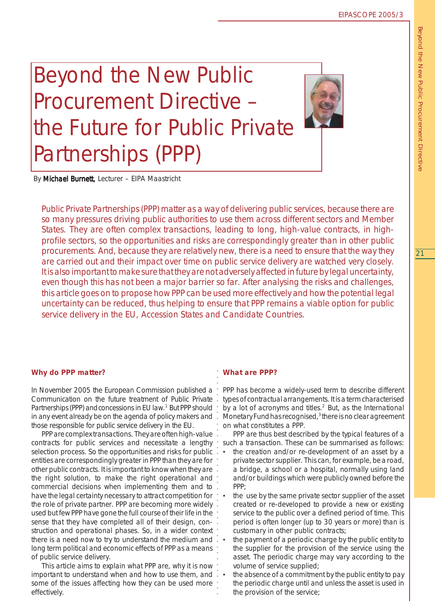# Beyond the New Public Procurement Directive – the Future for Public Private Partnerships (PPP)



By Michael Burnett, Lecturer - EIPA Maastricht

Public Private Partnerships (PPP) matter as a way of delivering public services, because there are so many pressures driving public authorities to use them across different sectors and Member States. They are often complex transactions, leading to long, high-value contracts, in highprofile sectors, so the opportunities and risks are correspondingly greater than in other public procurements. And, because they are relatively new, there is a need to ensure that the way they are carried out and their impact over time on public service delivery are watched very closely. It is also important to make sure that they are not adversely affected in future by legal uncertainty, even though this has not been a major barrier so far. After analysing the risks and challenges, this article goes on to propose how PPP can be used more effectively and how the potential legal uncertainty can be reduced, thus helping to ensure that PPP remains a viable option for public service delivery in the EU, Accession States and Candidate Countries.

In November 2005 the European Commission published a Communication on the future treatment of Public Private Partnerships (PPP) and concessions in EU law.<sup>1</sup> But PPP should in any event already be on the agenda of policy makers and those responsible for public service delivery in the EU.

Why do PPP matter?<br>
In November 2005 the European Commission published a<br>
communication on the future treatment of Public Private<br>
Partnerships (PPP) and<br>
concressions in EU law. <sup>1</sup> But PPP should<br>
in any event already be PPP are complex transactions. They are often high-value contracts for public services and necessitate a lengthy selection process. So the opportunities and risks for public entities are correspondingly greater in PPP than they are for other public contracts. It is important to know when they are the right solution, to make the right operational and commercial decisions when implementing them and to have the legal certainty necessary to attract competition for the role of private partner. PPP are becoming more widely used but few PPP have gone the full course of their life in the sense that they have completed all of their design, construction and operational phases. So, in a wider context there is a need now to try to understand the medium and long term political and economic effects of PPP as a means of public service delivery.

This article aims to explain what PPP are, why it is now important to understand when and how to use them, and some of the issues affecting how they can be used more effectively.

## *What are PPP?*

PPP has become a widely-used term to describe different types of contractual arrangements. It is a term characterised by a lot of acronyms and titles.<sup>2</sup> But, as the International Monetary Fund has recognised,<sup>3</sup> there is no clear agreement on what constitutes a PPP.

PPP are thus best described by the typical features of a such a transaction. These can be summarised as follows:

- the creation and/or re-development of an asset by a private sector supplier. This can, for example, be a road, a bridge, a school or a hospital, normally using land and/or buildings which were publicly owned before the PPP;
- the use by the same private sector supplier of the asset created or re-developed to provide a new or existing service to the public over a defined period of time. This period is often longer (up to 30 years or more) than is customary in other public contracts;
- the payment of a periodic charge by the public entity to the supplier for the provision of the service using the asset. The periodic charge may vary according to the volume of service supplied;
- the absence of a commitment by the public entity to pay the periodic charge until and unless the asset is used in the provision of the service;

Beyond the New Public Procurement Directive Beyond the New Public Procurement Directive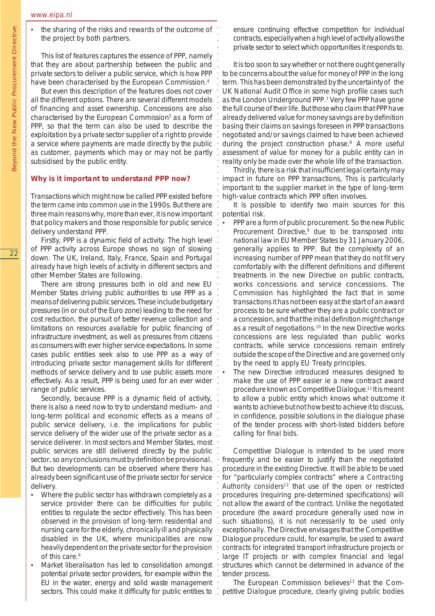the sharing of the risks and rewards of the outcome of the project by both partners.

○○○○○○

○○○○○○○○○○○○○○○○○○○○○○○○○○○○○○○○○○○○○○○○○○○○○○○○○○○○○○○○○○○○○○○○○○○○○○○○○○○○○○○○○○○○○○○○○○○

This list of features captures the essence of PPP, namely that they are about partnership between the public and private sectors to deliver a public service, which is how PPP have been characterised by the European Commission.4

But even this description of the features does not cover all the different options. There are several different models of financing and asset ownership. Concessions are also characterised by the European Commission<sup>5</sup> as a form of PPP, so that the term can also be used to describe the exploitation by a private sector supplier of a right to provide a service where payments are made directly by the public as customer, payments which may or may not be partly subsidised by the public entity.

#### *Why is it important to understand PPP now?*

Transactions which might now be called PPP existed before the term came into common use in the 1990s. But there are three main reasons why, more than ever, it is now important that policy makers and those responsible for public service delivery understand PPP.

Firstly, PPP is a dynamic field of activity. The high level of PPP activity across Europe shows no sign of slowing down. The UK, Ireland, Italy, France, Spain and Portugal already have high levels of activity in different sectors and other Member States are following.

There are strong pressures both in old and new EU Member States driving public authorities to use PPP as a means of delivering public services. These include budgetary pressures (in or out of the Euro zone) leading to the need for cost reduction, the pursuit of better revenue collection and limitations on resources available for public financing of infrastructure investment, as well as pressures from citizens as consumers with ever higher service expectations. In some cases public entities seek also to use PPP as a way of introducing private sector management skills for different methods of service delivery and to use public assets more effectively. As a result, PPP is being used for an ever wider range of public services.

Secondly, because PPP is a dynamic field of activity, there is also a need now to try to understand medium- and long-term political and economic effects as a means of public service delivery, i.e. the implications for public service delivery of the wider use of the private sector as a service deliverer. In most sectors and Member States, most public services are still delivered directly by the public sector, so any conclusions must by definition be provisional. But two developments can be observed where there has already been significant use of the private sector for service delivery.

- Where the public sector has withdrawn completely as a service provider there can be difficulties for public entities to regulate the sector effectively. This has been observed in the provision of long-term residential and nursing care for the elderly, chronically ill and physically disabled in the UK, where municipalities are now heavily dependent on the private sector for the provision of this care.<sup>6</sup>
- Market liberalisation has led to consolidation amongst potential private sector providers, for example within the EU in the water, energy and solid waste management sectors. This could make it difficulty for public entities to

ensure continuing effective competition for individual contracts, especially when a high level of activity allows the private sector to select which opportunities it responds to.

It is too soon to say whether or not there ought generally to be concerns about the value for money of PPP in the long term. This has been demonstrated by the uncertainty of the UK National Audit Office in some high profile cases such as the London Underground PPP.7 Very few PPP have gone the full course of their life. But those who claim that PPP have already delivered value for money savings are by definition basing their claims on savings foreseen in PPP transactions negotiated and/or savings claimed to have been achieved during the project construction phase.<sup>8</sup> A more useful assessment of value for money for a public entity can in reality only be made over the whole life of the transaction.

Thirdly, there is a risk that insufficient legal certainty may impact in future on PPP transactions, This is particularly important to the supplier market in the type of long-term high-value contracts which PPP often involves.

It is possible to identify two main sources for this potential risk.

- PPP are a form of public procurement. So the new Public Procurement Directive,<sup>9</sup> due to be transposed into national law in EU Member States by 31 January 2006, generally applies to PPP. But the complexity of an increasing number of PPP mean that they do not fit very comfortably with the different definitions and different treatments in the new Directive on public contracts, works concessions and service concessions. The Commission has highlighted the fact that in some transactions it has not been easy at the start of an award process to be sure whether they are a public contract or a concession, and that the initial definition might change as a result of negotiations.10 In the new Directive works concessions are less regulated than public works contracts, while service concessions remain entirely outside the scope of the Directive and are governed only by the need to apply EU Treaty principles.
- The new Directive introduced measures designed to make the use of PPP easier ie a new contract award procedure known as Competitive Dialogue.11 It is meant to allow a public entity which knows what outcome it wants to achieve but not how best to achieve it to discuss, in confidence, possible solutions in the dialogue phase of the tender process with short-listed bidders before calling for final bids.

Competitive Dialogue is intended to be used more frequently and be easier to justify than the negotiated procedure in the existing Directive. It will be able to be used for "particularly complex contracts" where a *Contracting Authority considers*12 that use of the open or restricted procedures (requiring pre-determined specifications) will not allow the award of the contract. Unlike the negotiated procedure (the award procedure generally used now in such situations), it is not necessarily to be used only exceptionally. The Directive envisages that the Competitive Dialogue procedure could, for example, be used to award contracts for integrated transport infrastructure projects or large IT projects or with complex financial and legal structures which cannot be determined in advance of the tender process.

The European Commission believes<sup>13</sup> that the Competitive Dialogue procedure, clearly giving public bodies

Beyond the New Public Procurement Directive

Beyond the New Public Procurement Directive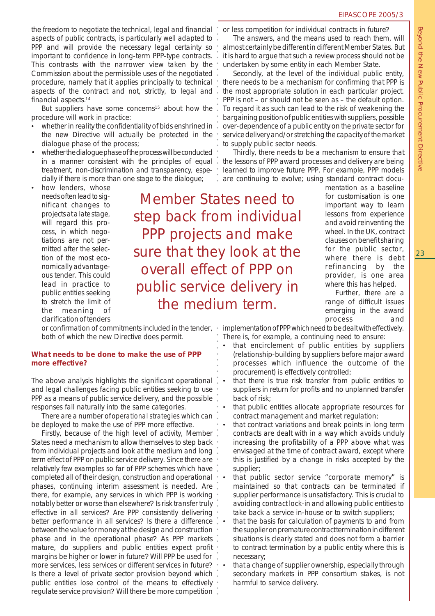the freedom to negotiate the technical, legal and financial aspects of public contracts, is particularly well adapted to PPP and will provide the necessary legal certainty so important to confidence in long-term PPP-type contracts. This contrasts with the narrower view taken by the Commission about the permissible uses of the negotiated procedure, namely that it applies principally to technical aspects of the contract and not, strictly, to legal and financial aspects.14

But suppliers have some concerns<sup>15</sup> about how the procedure will work in practice:

- whether in reality the confidentiality of bids enshrined in the new Directive will actually be protected in the dialogue phase of the process;
- whether the dialogue phase of the process will be conducted in a manner consistent with the principles of equal treatment, non-discrimination and transparency, especially if there is more than one stage to the dialogue;
- how lenders, whose needs often lead to significant changes to projects at a late stage, will regard this process, in which negotiations are not permitted after the selection of the most economically advantageous tender. This could lead in practice to public entities seeking to stretch the limit of the meaning of clarification of tenders

 ○○○○○○○○○○○○○○○○○○○○○○○○○○○○○○○○○○○○○○○○○○○ ○ ○○○○○○○○○○○○○○○○○○○○○○○○○○ Member States need to step back from individual PPP projects and make sure that they look at the overall effect of PPP on public service delivery in the medium term.

or confirmation of commitments included in the tender, both of which the new Directive does permit.

#### *What needs to be done to make the use of PPP more effective?*

The above analysis highlights the significant operational and legal challenges facing public entities seeking to use PPP as a means of public service delivery, and the possible responses fall naturally into the same categories.

There are a number of *operational strategies* which can be deployed to make the use of PPP more effective.

Firstly, because of the high level of activity, Member States need a mechanism to allow themselves to step back from individual projects and look at the medium and long term effect of PPP on public service delivery. Since there are relatively few examples so far of PPP schemes which have completed all of their design, construction and operational phases, continuing interim assessment is needed. Are there, for example, any services in which PPP is working notably better or worse than elsewhere? Is risk transfer truly effective in all services? Are PPP consistently delivering better performance in all services? Is there a difference between the value for money at the design and construction phase and in the operational phase? As PPP markets mature, do suppliers and public entities expect profit margins be higher or lower in future? Will PPP be used for more services, less services or different services in future? Is there a level of private sector provision beyond which public entities lose control of the means to effectively regulate service provision? Will there be more competition

or less competition for individual contracts in future?

The answers, and the means used to reach them, will almost certainly be different in different Member States. But it is hard to argue that such a review process should not be undertaken by some entity in each Member State.

Secondly, at the level of the individual public entity, there needs to be a mechanism for confirming that PPP is the most appropriate solution in each particular project. PPP is not – or should not be seen as – the default option. To regard it as such can lead to the risk of weakening the bargaining position of public entities with suppliers, possible over-dependence of a public entity on the private sector for service delivery and/or stretching the capacity of the market to supply public sector needs.

Thirdly, there needs to be a mechanism to ensure that the lessons of PPP award processes and delivery are being learned to improve future PPP. For example, PPP models are continuing to evolve; using standard contract docu-

> mentation as a baseline for customisation is one important way to learn lessons from experience and avoid reinventing the wheel. In the UK, contract clauses on benefit sharing for the public sector, where there is debt refinancing by the provider, is one area where this has helped.

> Further, there are a range of difficult issues emerging in the award process and

implementation of PPP which need to be dealt with effectively. There is, for example, a continuing need to ensure:

- that encirclement of public entities by suppliers (relationship-building by suppliers before major award processes which influence the outcome of the procurement) is effectively controlled;
- that there is true risk transfer from public entities to suppliers in return for profits and no unplanned transfer back of risk;
- that public entities allocate appropriate resources for contract management and market regulation;
- that contract variations and break points in long term contracts are dealt with in a way which avoids unduly increasing the profitability of a PPP above what was envisaged at the time of contract award, except where this is justified by a change in risks accepted by the supplier;
- that public sector service "corporate memory" is maintained so that contracts can be terminated if supplier performance is unsatisfactory. This is crucial to avoiding contract lock-in and allowing public entities to take back a service in-house or to switch suppliers;
- that the basis for calculation of payments to and from the supplier on premature contract termination in different situations is clearly stated and does not form a barrier to contract termination by a public entity where this is necessary;
- that a change of supplier ownership, especially through secondary markets in PPP consortium stakes, is not harmful to service delivery.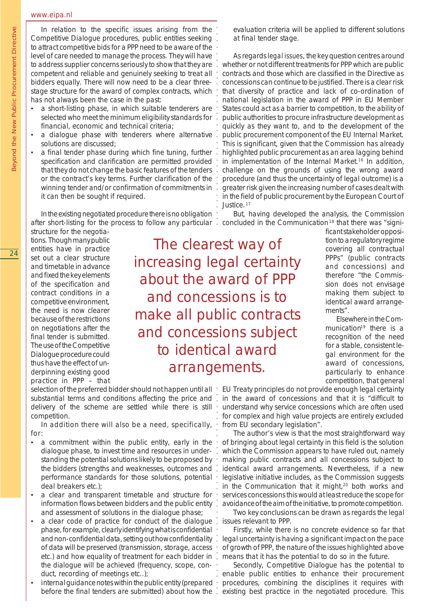#### www.eipa.nl

In relation to the specific issues arising from the Competitive Dialogue procedures, public entities seeking to attract competitive bids for a PPP need to be aware of the level of care needed to manage the process. They will have to address supplier concerns seriously to show that they are competent and reliable and genuinely seeking to treat all bidders equally. There will now need to be a clear threestage structure for the award of complex contracts, which has not always been the case in the past:

- a short-listing phase, in which suitable tenderers are selected who meet the minimum eligibility standards for financial, economic and technical criteria;
- a dialogue phase with tenderers where alternative solutions are discussed;
- a final tender phase during which fine tuning, further specification and clarification are permitted provided that they do not change the basic features of the tenders or the contract's key terms. Further clarification of the winning tender and/or confirmation of commitments in it can then be sought if required.

In the existing negotiated procedure there is no obligation after short-listing for the process to follow any particular.

structure for the negotiations. Though many public entities have in practice set out a clear structure and timetable in advance and fixed the key elements of the specification and contract conditions in a competitive environment, the need is now clearer because of the restrictions on negotiations after the final tender is submitted. The use of the Competitive Dialogue procedure could thus have the effect of underpinning existing good practice in PPP – that

The clearest way of increasing legal certainty about the award of PPP and concessions is to make all public contracts and concessions subject to identical award arrangements.

○○○○○○○○○○○○○○○○○○○○○○○○○○○○○○○

○○○○○

○○○○○○○○○○○○○○○○○○○○○○○○○○○○○

selection of the preferred bidder should not happen until all  $\cdot$ substantial terms and conditions affecting the price and delivery of the scheme are settled while there is still competition.

In addition there will also be a need, specifically, for:

- a commitment within the public entity, early in the dialogue phase, to invest time and resources in understanding the potential solutions likely to be proposed by the bidders (strengths and weaknesses, outcomes and performance standards for those solutions, potential deal breakers etc.);
- a clear and transparent timetable and structure for information flows between bidders and the public entity and assessment of solutions in the dialogue phase;
- a clear code of practice for conduct of the dialogue phase, for example, clearly identifying what is confidential and non-confidential data, setting out how confidentiality of data will be preserved (transmission, storage, access etc.) and how equality of treatment for each bidder in the dialogue will be achieved (frequency, scope, conduct, recording of meetings etc..);
- internal guidance notes within the public entity (prepared before the final tenders are submitted) about how the

evaluation criteria will be applied to different solutions at final tender stage.

As regards *legal issues*, the key question centres around whether or not different treatments for PPP which are public contracts and those which are classified in the Directive as concessions can continue to be justified. There is a clear risk that diversity of practice and lack of co-ordination of national legislation in the award of PPP in EU Member States could act as a barrier to competition, to the ability of public authorities to procure infrastructure development as quickly as they want to, and to the development of the public procurement component of the EU Internal Market. This is significant, given that the Commission has already highlighted public procurement as an area lagging behind in implementation of the Internal Market.<sup>16</sup> In addition, challenge on the grounds of using the wrong award procedure (and thus the uncertainty of legal outcome) is a greater risk given the increasing number of cases dealt with in the field of public procurement by the European Court of Justice.<sup>17</sup>

But, having developed the analysis, the Commission concluded in the Communication 18 that there was "signi-

> ficant stakeholder opposition to a regulatory regime covering all contractual PPPs" (public contracts *and* concessions) and therefore "the Commission does not envisage making them subject to identical award arrangements".

> Elsewhere in the Communication<sup>19</sup> there is a recognition of the need for a stable, consistent legal environment for the award of concessions, particularly to enhance competition, that general

EU Treaty principles do not provide enough legal certainty in the award of concessions and that it is "difficult to understand why service concessions which are often used for complex and high value projects are entirely excluded from EU secondary legislation".

The author's view is that the most straightforward way of bringing about legal certainty in this field is the solution which the Commission appears to have ruled out, namely making public contracts and all concessions subject to identical award arrangements. Nevertheless, if a new legislative initiative includes, as the Commission suggests in the Communication that it might,<sup>20</sup> both works and services concessions this would at least reduce the scope for avoidance of the aim of the initiative, to promote competition.

Two key conclusions can be drawn as regards the legal issues relevant to PPP.

Firstly, while there is no concrete evidence so far that legal uncertainty is having a significant impact on the pace of growth of PPP, the nature of the issues highlighted above means that it has the potential to do so in the future.

Secondly, Competitive Dialogue has the potential to enable public entities to enhance their procurement procedures, combining the disciplines it requires with existing best practice in the negotiated procedure. This

Beyond the New Public Procurement Directive

Beyond the New Public Procurement Directive

24